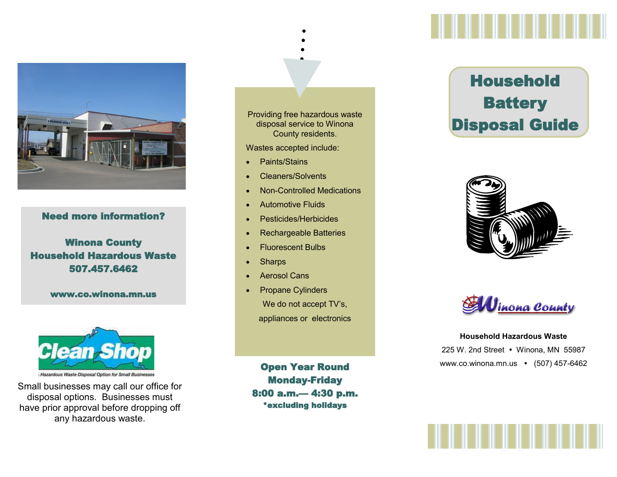

## Need more information?

## Winona County Household Hazardous Waste 507.457.6462

www.co.winona.mn.us



Small businesses may call our office for disposal options. Businesses must have prior approval before dropping off any hazardous waste.

Providing free hazardous waste disposal service to Winona County residents.

Wastes accepted include:

- Paints/Stains
- Cleaners/Solvents
- Non-Controlled Medications
- Automotive Fluids
- Pesticides/Herbicides
- Rechargeable Batteries
- **•** Fluorescent Bulbs
- **Sharps**
- Aerosol Cans
- Propane Cylinders We do not accept TV's, appliances or electronics

Monday-Friday 8:00 a.m.— 4:30 p.m. \*excluding holidays

## Household **Battery** Disposal Guide





**Household Hazardous Waste** 225 W. 2nd Street • Winona, MN 55987 Open Year Round WWW.co.winona.mn.us • (507) 457-6462